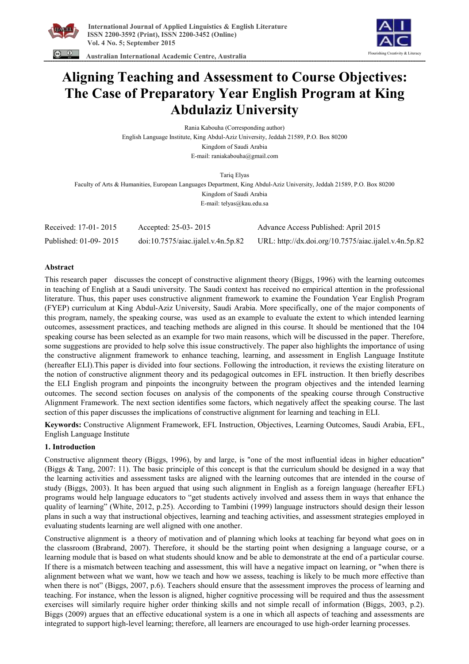





# **Aligning Teaching and Assessment to Course Objectives: The Case of Preparatory Year English Program at King Abdulaziz University**

Rania Kabouha (Corresponding author) English Language Institute, King Abdul-Aziz University, Jeddah 21589, P.O. Box 80200 Kingdom of Saudi Arabia E-mail: raniakabouha@gmail.com

Tariq Elyas Faculty of Arts & Humanities, European Languages Department, King Abdul-Aziz University, Jeddah 21589, P.O. Box 80200 Kingdom of Saudi Arabia E-mail: telyas@kau.edu.sa

| Received: 17-01-2015  | Accepted: 25-03-2015              | Advance Access Published: April 2015                  |
|-----------------------|-----------------------------------|-------------------------------------------------------|
| Published: 01-09-2015 | doi:10.7575/aiac.jalel.v.4n.5p.82 | URL: http://dx.doi.org/10.7575/aiac.ijalel.v.4n.5p.82 |

#### **Abstract**

This research paper discusses the concept of constructive alignment theory (Biggs, 1996) with the learning outcomes in teaching of English at a Saudi university. The Saudi context has received no empirical attention in the professional literature. Thus, this paper uses constructive alignment framework to examine the Foundation Year English Program (FYEP) curriculum at King Abdul-Aziz University, Saudi Arabia. More specifically, one of the major components of this program, namely, the speaking course, was used as an example to evaluate the extent to which intended learning outcomes, assessment practices, and teaching methods are aligned in this course. It should be mentioned that the 104 speaking course has been selected as an example for two main reasons, which will be discussed in the paper. Therefore, some suggestions are provided to help solve this issue constructively. The paper also highlights the importance of using the constructive alignment framework to enhance teaching, learning, and assessment in English Language Institute (hereafter ELI).This paper is divided into four sections. Following the introduction, it reviews the existing literature on the notion of constructive alignment theory and its pedagogical outcomes in EFL instruction. It then briefly describes the ELI English program and pinpoints the incongruity between the program objectives and the intended learning outcomes. The second section focuses on analysis of the components of the speaking course through Constructive Alignment Framework. The next section identifies some factors, which negatively affect the speaking course. The last section of this paper discusses the implications of constructive alignment for learning and teaching in ELI.

**Keywords:** Constructive Alignment Framework, EFL Instruction, Objectives, Learning Outcomes, Saudi Arabia, EFL, English Language Institute

# **1. Introduction**

Constructive alignment theory (Biggs, 1996), by and large, is "one of the most influential ideas in higher education" (Biggs & Tang, 2007: 11). The basic principle of this concept is that the curriculum should be designed in a way that the learning activities and assessment tasks are aligned with the learning outcomes that are intended in the course of study (Biggs, 2003). It has been argued that using such alignment in English as a foreign language (hereafter EFL) programs would help language educators to "get students actively involved and assess them in ways that enhance the quality of learning" (White, 2012, p.25). According to Tambini (1999) language instructors should design their lesson plans in such a way that instructional objectives, learning and teaching activities, and assessment strategies employed in evaluating students learning are well aligned with one another.

Constructive alignment is a theory of motivation and of planning which looks at teaching far beyond what goes on in the classroom (Brabrand, 2007). Therefore, it should be the starting point when designing a language course, or a learning module that is based on what students should know and be able to demonstrate at the end of a particular course. If there is a mismatch between teaching and assessment, this will have a negative impact on learning, or "when there is alignment between what we want, how we teach and how we assess, teaching is likely to be much more effective than when there is not" (Biggs, 2007, p.6). Teachers should ensure that the assessment improves the process of learning and teaching. For instance, when the lesson is aligned, higher cognitive processing will be required and thus the assessment exercises will similarly require higher order thinking skills and not simple recall of information (Biggs, 2003, p.2). Biggs (2009) argues that an effective educational system is a one in which all aspects of teaching and assessments are integrated to support high-level learning; therefore, all learners are encouraged to use high-order learning processes.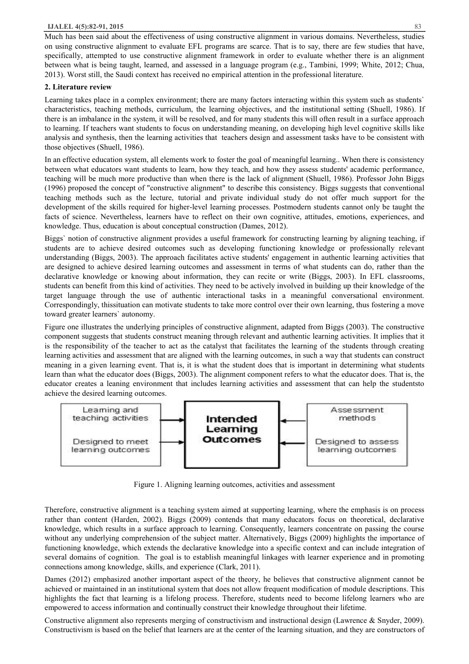Much has been said about the effectiveness of using constructive alignment in various domains. Nevertheless, studies on using constructive alignment to evaluate EFL programs are scarce. That is to say, there are few studies that have, specifically, attempted to use constructive alignment framework in order to evaluate whether there is an alignment between what is being taught, learned, and assessed in a language program (e.g., Tambini, 1999; White, 2012; Chua, 2013). Worst still, the Saudi context has received no empirical attention in the professional literature.

#### **2. Literature review**

Learning takes place in a complex environment; there are many factors interacting within this system such as students` characteristics, teaching methods, curriculum, the learning objectives, and the institutional setting (Shuell, 1986). If there is an imbalance in the system, it will be resolved, and for many students this will often result in a surface approach to learning. If teachers want students to focus on understanding meaning, on developing high level cognitive skills like analysis and synthesis, then the learning activities that teachers design and assessment tasks have to be consistent with those objectives (Shuell, 1986).

In an effective education system, all elements work to foster the goal of meaningful learning.. When there is consistency between what educators want students to learn, how they teach, and how they assess students' academic performance, teaching will be much more productive than when there is the lack of alignment (Shuell, 1986). Professor John Biggs (1996) proposed the concept of "constructive alignment" to describe this consistency. Biggs suggests that conventional teaching methods such as the lecture, tutorial and private individual study do not offer much support for the development of the skills required for higher-level learning processes. Postmodern students cannot only be taught the facts of science. Nevertheless, learners have to reflect on their own cognitive, attitudes, emotions, experiences, and knowledge. Thus, education is about conceptual construction (Dames, 2012).

Biggs` notion of constructive alignment provides a useful framework for constructing learning by aligning teaching, if students are to achieve desired outcomes such as developing functioning knowledge or professionally relevant understanding (Biggs, 2003). The approach facilitates active students' engagement in authentic learning activities that are designed to achieve desired learning outcomes and assessment in terms of what students can do, rather than the declarative knowledge or knowing about information, they can recite or write (Biggs, 2003). In EFL classrooms, students can benefit from this kind of activities. They need to be actively involved in building up their knowledge of the target language through the use of authentic interactional tasks in a meaningful conversational environment. Correspondingly, thissituation can motivate students to take more control over their own learning, thus fostering a move toward greater learners` autonomy.

Figure one illustrates the underlying principles of constructive alignment, adapted from Biggs (2003). The constructive component suggests that students construct meaning through relevant and authentic learning activities. It implies that it is the responsibility of the teacher to act as the catalyst that facilitates the learning of the students through creating learning activities and assessment that are aligned with the learning outcomes, in such a way that students can construct meaning in a given learning event. That is, it is what the student does that is important in determining what students learn than what the educator does (Biggs, 2003). The alignment component refers to what the educator does. That is, the educator creates a leaning environment that includes learning activities and assessment that can help the studentsto achieve the desired learning outcomes.



Figure 1. Aligning learning outcomes, activities and assessment

Therefore, constructive alignment is a teaching system aimed at supporting learning, where the emphasis is on process rather than content (Harden, 2002). Biggs (2009) contends that many educators focus on theoretical, declarative knowledge, which results in a surface approach to learning. Consequently, learners concentrate on passing the course without any underlying comprehension of the subject matter. Alternatively, Biggs (2009) highlights the importance of functioning knowledge, which extends the declarative knowledge into a specific context and can include integration of several domains of cognition. The goal is to establish meaningful linkages with learner experience and in promoting connections among knowledge, skills, and experience (Clark, 2011).

Dames (2012) emphasized another important aspect of the theory, he believes that constructive alignment cannot be achieved or maintained in an institutional system that does not allow frequent modification of module descriptions. This highlights the fact that learning is a lifelong process. Therefore, students need to become lifelong learners who are empowered to access information and continually construct their knowledge throughout their lifetime.

Constructive alignment also represents merging of constructivism and instructional design (Lawrence & Snyder, 2009). Constructivism is based on the belief that learners are at the center of the learning situation, and they are constructors of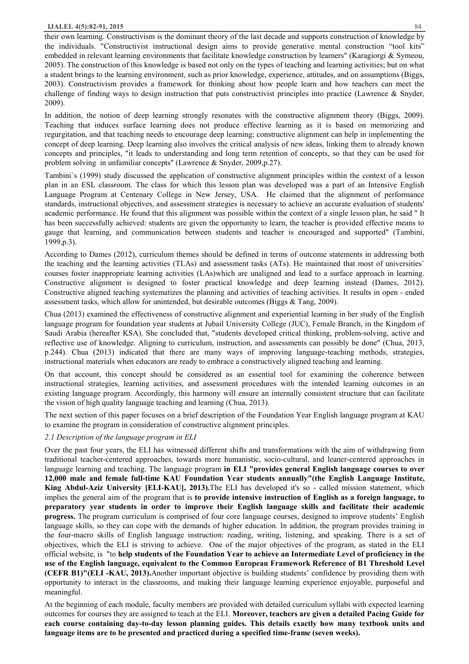their own learning. Constructivism is the dominant theory of the last decade and supports construction of knowledge by the individuals. "Constructivist instructional design aims to provide generative mental construction "tool kits" embedded in relevant learning environments that facilitate knowledge construction by learners" (Karagiorgi & Symeou, 2005). The construction of this knowledge is based not only on the types of teaching and learning activities; but on what a student brings to the learning environment, such as prior knowledge, experience, attitudes, and on assumptions (Biggs, 2003). Constructivism provides a framework for thinking about how people learn and how teachers can meet the challenge of finding ways to design instruction that puts constructivist principles into practice (Lawrence & Snyder, 2009).

In addition, the notion of deep learning strongly resonates with the constructive alignment theory (Biggs, 2009). Teaching that induces surface learning does not produce effective learning as it is based on memorizing and regurgitation, and that teaching needs to encourage deep learning; constructive alignment can help in implementing the concept of deep learning. Deep learning also involves the critical analysis of new ideas, linking them to already known concepts and principles, "it leads to understanding and long term retention of concepts, so that they can be used for problem solving in unfamiliar concepts" (Lawrence & Snyder, 2009,p.27).

Tambini`s (1999) study discussed the application of constructive alignment principles within the context of a lesson plan in an ESL classroom. The class for which this lesson plan was developed was a part of an Intensive English Language Program at Centenary College in New Jersey, USA. He claimed that the alignment of performance standards, instructional objectives, and assessment strategies is necessary to achieve an accurate evaluation of students' academic performance. He found that this alignment was possible within the context of a single lesson plan, he said " It has been successfully achieved: students are given the opportunity to learn, the teacher is provided effective means to gauge that learning, and communication between students and teacher is encouraged and supported" (Tambini, 1999,p.3).

According to Dames (2012), curriculum themes should be defined in terms of outcome statements in addressing both the teaching and the learning activities (TLAs) and assessment tasks (ATs). He maintained that most of universities` courses foster inappropriate learning activities (LAs)which are unaligned and lead to a surface approach in learning. Constructive alignment is designed to foster practical knowledge and deep learning instead (Dames, 2012). Constructive aligned teaching systematizes the planning and activities of teaching activities. It results in open - ended assessment tasks, which allow for unintended, but desirable outcomes (Biggs & Tang, 2009).

Chua (2013) examined the effectiveness of constructive alignment and experiential learning in her study of the English language program for foundation year students at Jubail University College (JUC), Female Branch, in the Kingdom of Saudi Arabia (hereafter KSA). She concluded that, "students developed critical thinking, problem-solving, active and reflective use of knowledge. Aligning to curriculum, instruction, and assessments can possibly be done" (Chua, 2013, p.244). Chua (2013) indicated that there are many ways of improving language-teaching methods, strategies, instructional materials when educators are ready to embrace a constructively aligned teaching and learning.

On that account, this concept should be considered as an essential tool for examining the coherence between instructional strategies, learning activities, and assessment procedures with the intended learning outcomes in an existing language program. Accordingly, this harmony will ensure an internally consistent structure that can facilitate the vision of high quality language teaching and learning (Chua, 2013).

The next section of this paper focuses on a brief description of the Foundation Year English language program at KAU to examine the program in consideration of constructive alignment principles.

#### *2.1 Description of the language program in ELI*

Over the past four years, the ELI has witnessed different shifts and transformations with the aim of withdrawing from traditional teacher-centered approaches, towards more humanistic, socio-cultural, and leaner-centered approaches in language learning and teaching. The language program **in ELI "provides general English language courses to over 12,000 male and female full-time KAU Foundation Year students annually"(the English Language Institute, King Abdul-Aziz University [ELI-KAU], 2013).**The ELI has developed it's so - called mission statement, which implies the general aim of the program that is **to provide intensive instruction of English as a foreign language, to preparatory year students in order to improve their English language skills and facilitate their academic progress.** The program curriculum is comprised of four core language courses, designed to improve students' English language skills, so they can cope with the demands of higher education. In addition, the program provides training in the four-macro skills of English language instruction: reading, writing, listening, and speaking. There is a set of objectives, which the ELI is striving to achieve. One of the major objectives of the program, as stated in the ELI official website, is "to **help students of the Foundation Year to achieve an Intermediate Level of proficiency in the use of the English language, equivalent to the Common European Framework Reference of B1 Threshold Level (CEFR B1)"(ELI -KAU, 2013).**Another important objective is building students' confidence by providing them with opportunity to interact in the classrooms, and making their language learning experience enjoyable, purposeful and meaningful.

At the beginning of each module, faculty members are provided with detailed curriculum syllabi with expected learning outcomes for courses they are assigned to teach at the ELI. **Moreover, teachers are given a detailed Pacing Guide for each course containing day-to-day lesson planning guides. This details exactly how many textbook units and language items are to be presented and practiced during a specified time-frame (seven weeks).**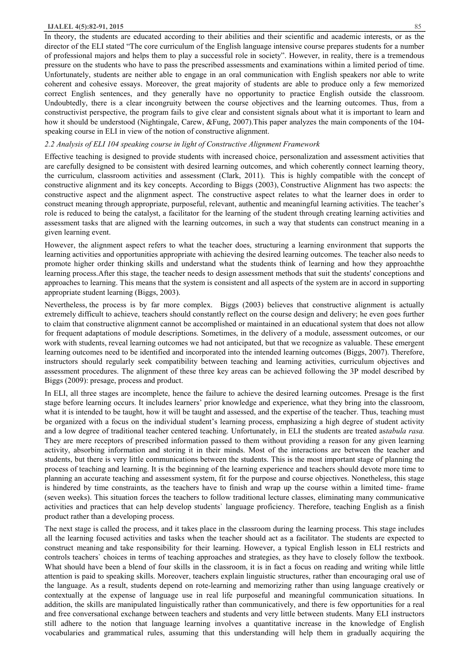#### **IJALEL 4(5):82-91, 2015** 85

In theory, the students are educated according to their abilities and their scientific and academic interests, or as the director of the ELI stated "The core curriculum of the English language intensive course prepares students for a number of professional majors and helps them to play a successful role in society". However, in reality, there is a tremendous pressure on the students who have to pass the prescribed assessments and examinations within a limited period of time. Unfortunately, students are neither able to engage in an oral communication with English speakers nor able to write coherent and cohesive essays. Moreover, the great majority of students are able to produce only a few memorized correct English sentences, and they generally have no opportunity to practice English outside the classroom. Undoubtedly, there is a clear incongruity between the course objectives and the learning outcomes. Thus, from a constructivist perspective, the program fails to give clear and consistent signals about what it is important to learn and how it should be understood (Nightingale, Carew, &Fung, 2007). This paper analyzes the main components of the 104speaking course in ELI in view of the notion of constructive alignment.

#### *2.2 Analysis of ELI 104 speaking course in light of Constructive Alignment Framework*

Effective teaching is designed to provide students with increased choice, personalization and assessment activities that are carefully designed to be consistent with desired learning outcomes, and which coherently connect learning theory, the curriculum, classroom activities and assessment (Clark, 2011). This is highly compatible with the concept of constructive alignment and its key concepts. According to Biggs (2003), Constructive Alignment has two aspects: the constructive aspect and the alignment aspect. The constructive aspect relates to what the learner does in order to construct meaning through appropriate, purposeful, relevant, authentic and meaningful learning activities. The teacher's role is reduced to being the catalyst, a facilitator for the learning of the student through creating learning activities and assessment tasks that are aligned with the learning outcomes, in such a way that students can construct meaning in a given learning event.

However, the alignment aspect refers to what the teacher does, structuring a learning environment that supports the learning activities and opportunities appropriate with achieving the desired learning outcomes. The teacher also needs to promote higher order thinking skills and understand what the students think of learning and how they approachthe learning process.After this stage, the teacher needs to design assessment methods that suit the students' conceptions and approaches to learning. This means that the system is consistent and all aspects of the system are in accord in supporting appropriate student learning (Biggs, 2003).

Nevertheless, the process is by far more complex. Biggs (2003) believes that constructive alignment is actually extremely difficult to achieve, teachers should constantly reflect on the course design and delivery; he even goes further to claim that constructive alignment cannot be accomplished or maintained in an educational system that does not allow for frequent adaptations of module descriptions. Sometimes, in the delivery of a module, assessment outcomes, or our work with students, reveal learning outcomes we had not anticipated, but that we recognize as valuable. These emergent learning outcomes need to be identified and incorporated into the intended learning outcomes (Biggs, 2007). Therefore, instructors should regularly seek compatibility between teaching and learning activities, curriculum objectives and assessment procedures. The alignment of these three key areas can be achieved following the 3P model described by Biggs (2009): presage, process and product.

In ELI, all three stages are incomplete, hence the failure to achieve the desired learning outcomes. Presage is the first stage before learning occurs. It includes learners' prior knowledge and experience, what they bring into the classroom, what it is intended to be taught, how it will be taught and assessed, and the expertise of the teacher. Thus, teaching must be organized with a focus on the individual student's learning process, emphasizing a high degree of student activity and a low degree of traditional teacher centered teaching. Unfortunately, in ELI the students are treated as*tabula rasa.*  They are mere receptors of prescribed information passed to them without providing a reason for any given learning activity, absorbing information and storing it in their minds. Most of the interactions are between the teacher and students, but there is very little communications between the students. This is the most important stage of planning the process of teaching and learning. It is the beginning of the learning experience and teachers should devote more time to planning an accurate teaching and assessment system, fit for the purpose and course objectives. Nonetheless, this stage is hindered by time constraints, as the teachers have to finish and wrap up the course within a limited time- frame (seven weeks). This situation forces the teachers to follow traditional lecture classes, eliminating many communicative activities and practices that can help develop students` language proficiency. Therefore, teaching English as a finish product rather than a developing process.

The next stage is called the process, and it takes place in the classroom during the learning process. This stage includes all the learning focused activities and tasks when the teacher should act as a facilitator. The students are expected to construct meaning and take responsibility for their learning. However, a typical English lesson in ELI restricts and controls teachers` choices in terms of teaching approaches and strategies, as they have to closely follow the textbook. What should have been a blend of four skills in the classroom, it is in fact a focus on reading and writing while little attention is paid to speaking skills. Moreover, teachers explain linguistic structures, rather than encouraging oral use of the language. As a result, students depend on rote-learning and memorizing rather than using language creatively or contextually at the expense of language use in real life purposeful and meaningful communication situations. In addition, the skills are manipulated linguistically rather than communicatively, and there is few opportunities for a real and free conversational exchange between teachers and students and very little between students. Many ELI instructors still adhere to the notion that language learning involves a quantitative increase in the knowledge of English vocabularies and grammatical rules, assuming that this understanding will help them in gradually acquiring the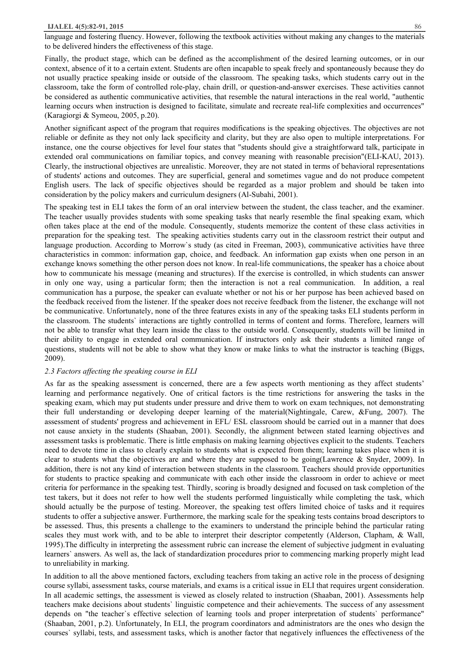#### **IJALEL 4(5):82-91, 2015** 86

language and fostering fluency. However, following the textbook activities without making any changes to the materials to be delivered hinders the effectiveness of this stage.

Finally, the product stage, which can be defined as the accomplishment of the desired learning outcomes, or in our context, absence of it to a certain extent. Students are often incapable to speak freely and spontaneously because they do not usually practice speaking inside or outside of the classroom. The speaking tasks, which students carry out in the classroom, take the form of controlled role-play, chain drill, or question-and-answer exercises. These activities cannot be considered as authentic communicative activities, that resemble the natural interactions in the real world, "authentic learning occurs when instruction is designed to facilitate, simulate and recreate real-life complexities and occurrences" (Karagiorgi & Symeou, 2005, p.20).

Another significant aspect of the program that requires modifications is the speaking objectives. The objectives are not reliable or definite as they not only lack specificity and clarity, but they are also open to multiple interpretations. For instance, one the course objectives for level four states that "students should give a straightforward talk, participate in extended oral communications on familiar topics, and convey meaning with reasonable precision"(ELI-KAU, 2013). Clearly, the instructional objectives are unrealistic. Moreover, they are not stated in terms of behavioral representations of students' actions and outcomes. They are superficial, general and sometimes vague and do not produce competent English users. The lack of specific objectives should be regarded as a major problem and should be taken into consideration by the policy makers and curriculum designers (Al-Subahi, 2001).

The speaking test in ELI takes the form of an oral interview between the student, the class teacher, and the examiner. The teacher usually provides students with some speaking tasks that nearly resemble the final speaking exam, which often takes place at the end of the module. Consequently, students memorize the content of these class activities in preparation for the speaking test. The speaking activities students carry out in the classroom restrict their output and language production. According to Morrow's study (as cited in Freeman, 2003), communicative activities have three characteristics in common: information gap, choice, and feedback. An information gap exists when one person in an exchange knows something the other person does not know. In real-life communications, the speaker has a choice about how to communicate his message (meaning and structures). If the exercise is controlled, in which students can answer in only one way, using a particular form; then the interaction is not a real communication. In addition, a real communication has a purpose, the speaker can evaluate whether or not his or her purpose has been achieved based on the feedback received from the listener. If the speaker does not receive feedback from the listener, the exchange will not be communicative. Unfortunately, none of the three features exists in any of the speaking tasks ELI students perform in the classroom. The students` interactions are tightly controlled in terms of content and forms. Therefore, learners will not be able to transfer what they learn inside the class to the outside world. Consequently, students will be limited in their ability to engage in extended oral communication. If instructors only ask their students a limited range of questions, students will not be able to show what they know or make links to what the instructor is teaching (Biggs, 2009).

#### *2.3 Factors affecting the speaking course in ELI*

As far as the speaking assessment is concerned, there are a few aspects worth mentioning as they affect students' learning and performance negatively. One of critical factors is the time restrictions for answering the tasks in the speaking exam, which may put students under pressure and drive them to work on exam techniques, not demonstrating their full understanding or developing deeper learning of the material(Nightingale, Carew, &Fung, 2007). The assessment of students' progress and achievement in EFL/ ESL classroom should be carried out in a manner that does not cause anxiety in the students (Shaaban, 2001). Secondly, the alignment between stated learning objectives and assessment tasks is problematic. There is little emphasis on making learning objectives explicit to the students. Teachers need to devote time in class to clearly explain to students what is expected from them; learning takes place when it is clear to students what the objectives are and where they are supposed to be going(Lawrence & Snyder, 2009). In addition, there is not any kind of interaction between students in the classroom. Teachers should provide opportunities for students to practice speaking and communicate with each other inside the classroom in order to achieve or meet criteria for performance in the speaking test. Thirdly, scoring is broadly designed and focused on task completion of the test takers, but it does not refer to how well the students performed linguistically while completing the task, which should actually be the purpose of testing. Moreover, the speaking test offers limited choice of tasks and it requires students to offer a subjective answer. Furthermore, the marking scale for the speaking tests contains broad descriptors to be assessed. Thus, this presents a challenge to the examiners to understand the principle behind the particular rating scales they must work with, and to be able to interpret their descriptor competently (Alderson, Clapham, & Wall, 1995).The difficulty in interpreting the assessment rubric can increase the element of subjective judgment in evaluating learners` answers. As well as, the lack of standardization procedures prior to commencing marking properly might lead to unreliability in marking.

In addition to all the above mentioned factors, excluding teachers from taking an active role in the process of designing course syllabi, assessment tasks, course materials, and exams is a critical issue in ELI that requires urgent consideration. In all academic settings, the assessment is viewed as closely related to instruction (Shaaban, 2001). Assessments help teachers make decisions about students` linguistic competence and their achievements. The success of any assessment depends on "the teacher`s effective selection of learning tools and proper interpretation of students` performance" (Shaaban, 2001, p.2). Unfortunately, In ELI, the program coordinators and administrators are the ones who design the courses` syllabi, tests, and assessment tasks, which is another factor that negatively influences the effectiveness of the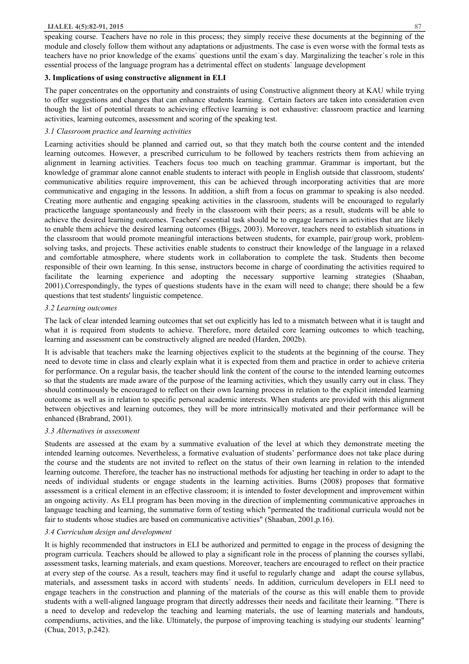speaking course. Teachers have no role in this process; they simply receive these documents at the beginning of the module and closely follow them without any adaptations or adjustments. The case is even worse with the formal tests as teachers have no prior knowledge of the exams` questions until the exam`s day. Marginalizing the teacher`s role in this essential process of the language program has a detrimental effect on students` language development

#### **3. Implications of using constructive alignment in ELI**

The paper concentrates on the opportunity and constraints of using Constructive alignment theory at KAU while trying to offer suggestions and changes that can enhance students learning. Certain factors are taken into consideration even though the list of potential threats to achieving effective learning is not exhaustive: classroom practice and learning activities, learning outcomes, assessment and scoring of the speaking test.

#### *3.1 Classroom practice and learning activities*

Learning activities should be planned and carried out, so that they match both the course content and the intended learning outcomes. However, a prescribed curriculum to be followed by teachers restricts them from achieving an alignment in learning activities. Teachers focus too much on teaching grammar. Grammar is important, but the knowledge of grammar alone cannot enable students to interact with people in English outside that classroom, students' communicative abilities require improvement, this can be achieved through incorporating activities that are more communicative and engaging in the lessons. In addition, a shift from a focus on grammar to speaking is also needed. Creating more authentic and engaging speaking activities in the classroom, students will be encouraged to regularly practicethe language spontaneously and freely in the classroom with their peers; as a result, students will be able to achieve the desired learning outcomes. Teachers' essential task should be to engage learners in activities that are likely to enable them achieve the desired learning outcomes (Biggs, 2003). Moreover, teachers need to establish situations in the classroom that would promote meaningful interactions between students, for example, pair/group work, problemsolving tasks, and projects. These activities enable students to construct their knowledge of the language in a relaxed and comfortable atmosphere, where students work in collaboration to complete the task. Students then become responsible of their own learning. In this sense, instructors become in charge of coordinating the activities required to facilitate the learning experience and adopting the necessary supportive learning strategies (Shaaban, 2001).Correspondingly, the types of questions students have in the exam will need to change; there should be a few questions that test students' linguistic competence.

# *3.2 Learning outcomes*

The lack of clear intended learning outcomes that set out explicitly has led to a mismatch between what it is taught and what it is required from students to achieve. Therefore, more detailed core learning outcomes to which teaching, learning and assessment can be constructively aligned are needed (Harden, 2002b).

It is advisable that teachers make the learning objectives explicit to the students at the beginning of the course. They need to devote time in class and clearly explain what it is expected from them and practice in order to achieve criteria for performance. On a regular basis, the teacher should link the content of the course to the intended learning outcomes so that the students are made aware of the purpose of the learning activities, which they usually carry out in class. They should continuously be encouraged to reflect on their own learning process in relation to the explicit intended learning outcome as well as in relation to specific personal academic interests. When students are provided with this alignment between objectives and learning outcomes, they will be more intrinsically motivated and their performance will be enhanced (Brabrand, 2001).

# *3.3 Alternatives in assessment*

Students are assessed at the exam by a summative evaluation of the level at which they demonstrate meeting the intended learning outcomes. Nevertheless, a formative evaluation of students' performance does not take place during the course and the students are not invited to reflect on the status of their own learning in relation to the intended learning outcome. Therefore, the teacher has no instructional methods for adjusting her teaching in order to adapt to the needs of individual students or engage students in the learning activities. Burns (2008) proposes that formative assessment is a critical element in an effective classroom; it is intended to foster development and improvement within an ongoing activity. As ELI program has been moving in the direction of implementing communicative approaches in language teaching and learning, the summative form of testing which "permeated the traditional curricula would not be fair to students whose studies are based on communicative activities" (Shaaban, 2001,p.16).

# *3.4 Curriculum design and development*

It is highly recommended that instructors in ELI be authorized and permitted to engage in the process of designing the program curricula. Teachers should be allowed to play a significant role in the process of planning the courses syllabi, assessment tasks, learning materials, and exam questions. Moreover, teachers are encouraged to reflect on their practice at every step of the course. As a result, teachers may find it useful to regularly change and adapt the course syllabus, materials, and assessment tasks in accord with students` needs. In addition, curriculum developers in ELI need to engage teachers in the construction and planning of the materials of the course as this will enable them to provide students with a well-aligned language program that directly addresses their needs and facilitate their learning. "There is a need to develop and redevelop the teaching and learning materials, the use of learning materials and handouts, compendiums, activities, and the like. Ultimately, the purpose of improving teaching is studying our students` learning" (Chua, 2013, p.242).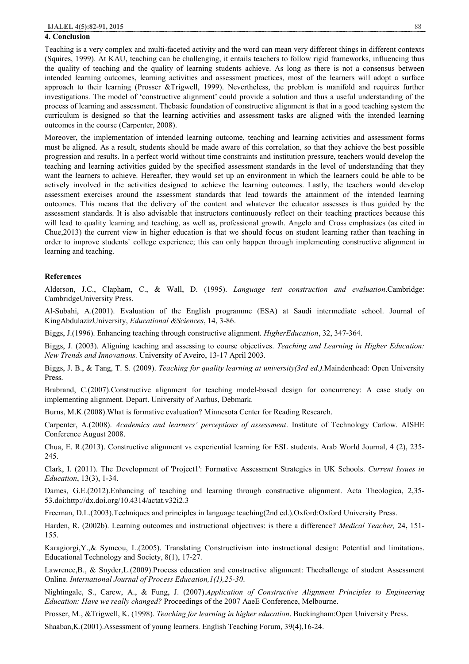#### **4. Conclusion**

Teaching is a very complex and multi-faceted activity and the word can mean very different things in different contexts (Squires, 1999). At KAU, teaching can be challenging, it entails teachers to follow rigid frameworks, influencing thus the quality of teaching and the quality of learning students achieve. As long as there is not a consensus between intended learning outcomes, learning activities and assessment practices, most of the learners will adopt a surface approach to their learning (Prosser &Trigwell, 1999). Nevertheless, the problem is manifold and requires further investigations. The model of 'constructive alignment' could provide a solution and thus a useful understanding of the process of learning and assessment. Thebasic foundation of constructive alignment is that in a good teaching system the curriculum is designed so that the learning activities and assessment tasks are aligned with the intended learning outcomes in the course (Carpenter, 2008).

Moreover, the implementation of intended learning outcome, teaching and learning activities and assessment forms must be aligned. As a result, students should be made aware of this correlation, so that they achieve the best possible progression and results. In a perfect world without time constraints and institution pressure, teachers would develop the teaching and learning activities guided by the specified assessment standards in the level of understanding that they want the learners to achieve. Hereafter, they would set up an environment in which the learners could be able to be actively involved in the activities designed to achieve the learning outcomes. Lastly, the teachers would develop assessment exercises around the assessment standards that lead towards the attainment of the intended learning outcomes. This means that the delivery of the content and whatever the educator assesses is thus guided by the assessment standards. It is also advisable that instructors continuously reflect on their teaching practices because this will lead to quality learning and teaching, as well as, professional growth. Angelo and Cross emphasizes (as cited in Chue,2013) the current view in higher education is that we should focus on student learning rather than teaching in order to improve students` college experience; this can only happen through implementing constructive alignment in learning and teaching.

#### **References**

Alderson, J.C., Clapham, C., & Wall, D. (1995). *Language test construction and evaluation*.Cambridge: CambridgeUniversity Press.

Al-Subahi, A.(2001). Evaluation of the English programme (ESA) at Saudi intermediate school. Journal of KingAbdulazizUniversity, *Educational &Sciences*, 14, 3-86.

Biggs, J.(1996). Enhancing teaching through constructive alignment. *HigherEducation*, 32, 347-364.

Biggs, J. (2003). Aligning teaching and assessing to course objectives. *Teaching and Learning in Higher Education: New Trends and Innovations.* University of Aveiro, 13-17 April 2003.

Biggs, J. B., & Tang, T. S. (2009). *Teaching for quality learning at university(3rd ed.).*Maindenhead: Open University Press.

Brabrand, C.(2007).Constructive alignment for teaching model-based design for concurrency: A case study on implementing alignment. Depart. University of Aarhus, Debmark.

Burns, M.K.(2008).What is formative evaluation? Minnesota Center for Reading Research.

Carpenter, A.(2008). *Academics and learners' perceptions of assessment*. Institute of Technology Carlow. AISHE Conference August 2008.

Chua, E. R.(2013). Constructive alignment vs experiential learning for ESL students. Arab World Journal, 4 (2), 235- 245.

Clark, I. (2011). The Development of 'Project1': Formative Assessment Strategies in UK Schools. *Current Issues in Education*, 13(3), 1-34.

Dames, G.E.(2012).Enhancing of teaching and learning through constructive alignment. Acta Theologica, 2,35- 53.doi:http://dx.doi.org/10.4314/actat.v32i2.3

Freeman, D.L.(2003).Techniques and principles in language teaching(2nd ed.).Oxford:Oxford University Press.

Harden, R. (2002b). Learning outcomes and instructional objectives: is there a difference? *Medical Teacher,* 24**,** 151- 155.

Karagiorgi,Y.,& Symeou, L.(2005). Translating Constructivism into instructional design: Potential and limitations. Educational Technology and Society, 8(1), 17-27.

Lawrence,B., & Snyder,L.(2009).Process education and constructive alignment: Thechallenge of student Assessment Online. *International Journal of Process Education,1(1),25-30*.

Nightingale, S., Carew, A., & Fung, J. (2007).*Application of Constructive Alignment Principles to Engineering Education: Have we really changed?* Proceedings of the 2007 AaeE Conference, Melbourne.

Prosser, M., &Trigwell, K. (1998). *Teaching for learning in higher education*. Buckingham:Open University Press.

Shaaban,K.(2001).Assessment of young learners. English Teaching Forum, 39(4),16-24.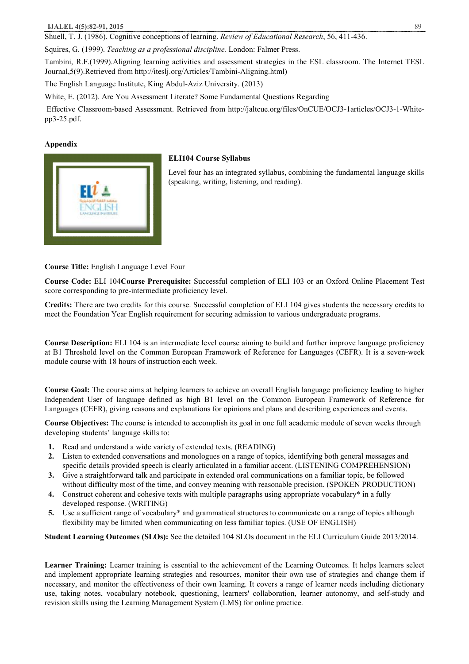Shuell, T. J. (1986). Cognitive conceptions of learning. *Review of Educational Research*, 56, 411-436.

Squires, G. (1999). *Teaching as a professional discipline.* London: Falmer Press.

Tambini, R.F.(1999).Aligning learning activities and assessment strategies in the ESL classroom. The Internet TESL Journal,5(9).Retrieved from http://iteslj.org/Articles/Tambini-Aligning.html)

The English Language Institute, King Abdul-Aziz University. (2013)

White, E. (2012). Are You Assessment Literate? Some Fundamental Questions Regarding

 Effective Classroom-based Assessment. Retrieved from http://jaltcue.org/files/OnCUE/OCJ3-1articles/OCJ3-1-Whitepp3-25.pdf.

# **Appendix**



# **ELI104 Course Syllabus**

Level four has an integrated syllabus, combining the fundamental language skills (speaking, writing, listening, and reading).

**Course Title:** English Language Level Four

**Course Code:** ELI 104**Course Prerequisite:** Successful completion of ELI 103 or an Oxford Online Placement Test score corresponding to pre-intermediate proficiency level.

**Credits:** There are two credits for this course. Successful completion of ELI 104 gives students the necessary credits to meet the Foundation Year English requirement for securing admission to various undergraduate programs.

**Course Description:** ELI 104 is an intermediate level course aiming to build and further improve language proficiency at B1 Threshold level on the Common European Framework of Reference for Languages (CEFR). It is a seven-week module course with 18 hours of instruction each week.

**Course Goal:** The course aims at helping learners to achieve an overall English language proficiency leading to higher Independent User of language defined as high B1 level on the Common European Framework of Reference for Languages (CEFR), giving reasons and explanations for opinions and plans and describing experiences and events.

**Course Objectives:** The course is intended to accomplish its goal in one full academic module of seven weeks through developing students' language skills to:

- **1.** Read and understand a wide variety of extended texts. (READING)
- **2.** Listen to extended conversations and monologues on a range of topics, identifying both general messages and specific details provided speech is clearly articulated in a familiar accent. (LISTENING COMPREHENSION)
- **3.** Give a straightforward talk and participate in extended oral communications on a familiar topic, be followed without difficulty most of the time, and convey meaning with reasonable precision. (SPOKEN PRODUCTION)
- **4.** Construct coherent and cohesive texts with multiple paragraphs using appropriate vocabulary\* in a fully developed response. (WRITING)
- **5.** Use a sufficient range of vocabulary\* and grammatical structures to communicate on a range of topics although flexibility may be limited when communicating on less familiar topics. (USE OF ENGLISH)

**Student Learning Outcomes (SLOs):** See the detailed 104 SLOs document in the ELI Curriculum Guide 2013/2014.

**Learner Training:** Learner training is essential to the achievement of the Learning Outcomes. It helps learners select and implement appropriate learning strategies and resources, monitor their own use of strategies and change them if necessary, and monitor the effectiveness of their own learning. It covers a range of learner needs including dictionary use, taking notes, vocabulary notebook, questioning, learners' collaboration, learner autonomy, and self-study and revision skills using the Learning Management System (LMS) for online practice.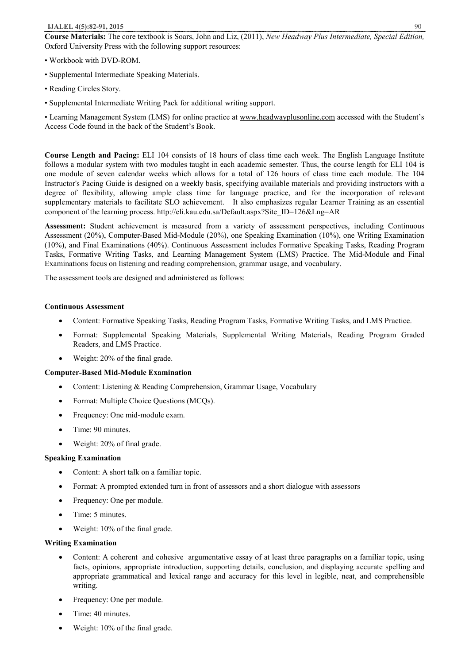#### **IJALEL 4(5):82-91, 2015** 90

**Course Materials:** The core textbook is Soars, John and Liz, (2011), *New Headway Plus Intermediate, Special Edition,*  Oxford University Press with the following support resources:

- Workbook with DVD-ROM.
- Supplemental Intermediate Speaking Materials.
- Reading Circles Story.
- Supplemental Intermediate Writing Pack for additional writing support.

• Learning Management System (LMS) for online practice at www.headwayplusonline.com accessed with the Student's Access Code found in the back of the Student's Book.

**Course Length and Pacing:** ELI 104 consists of 18 hours of class time each week. The English Language Institute follows a modular system with two modules taught in each academic semester. Thus, the course length for ELI 104 is one module of seven calendar weeks which allows for a total of 126 hours of class time each module. The 104 Instructor's Pacing Guide is designed on a weekly basis, specifying available materials and providing instructors with a degree of flexibility, allowing ample class time for language practice, and for the incorporation of relevant supplementary materials to facilitate SLO achievement. It also emphasizes regular Learner Training as an essential component of the learning process. http://eli.kau.edu.sa/Default.aspx?Site\_ID=126&Lng=AR

**Assessment:** Student achievement is measured from a variety of assessment perspectives, including Continuous Assessment (20%), Computer-Based Mid-Module (20%), one Speaking Examination (10%), one Writing Examination (10%), and Final Examinations (40%). Continuous Assessment includes Formative Speaking Tasks, Reading Program Tasks, Formative Writing Tasks, and Learning Management System (LMS) Practice. The Mid-Module and Final Examinations focus on listening and reading comprehension, grammar usage, and vocabulary.

The assessment tools are designed and administered as follows:

# **Continuous Assessment**

- · Content: Formative Speaking Tasks, Reading Program Tasks, Formative Writing Tasks, and LMS Practice.
- · Format: Supplemental Speaking Materials, Supplemental Writing Materials, Reading Program Graded Readers, and LMS Practice.
- Weight: 20% of the final grade.

# **Computer-Based Mid-Module Examination**

- Content: Listening & Reading Comprehension, Grammar Usage, Vocabulary
- Format: Multiple Choice Questions (MCQs).
- · Frequency: One mid-module exam.
- Time: 90 minutes.
- Weight: 20% of final grade.

# **Speaking Examination**

- Content: A short talk on a familiar topic.
- Format: A prompted extended turn in front of assessors and a short dialogue with assessors
- Frequency: One per module.
- Time: 5 minutes.
- Weight: 10% of the final grade.

# **Writing Examination**

- · Content: A coherent and cohesive argumentative essay of at least three paragraphs on a familiar topic, using facts, opinions, appropriate introduction, supporting details, conclusion, and displaying accurate spelling and appropriate grammatical and lexical range and accuracy for this level in legible, neat, and comprehensible writing.
- Frequency: One per module.
- Time: 40 minutes.
- Weight: 10% of the final grade.